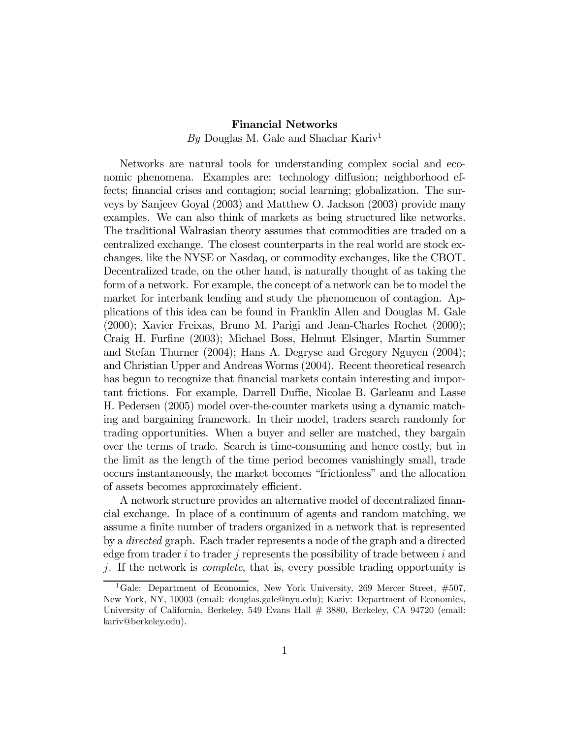## Financial Networks

By Douglas M. Gale and Shachar Kariv<sup>1</sup>

Networks are natural tools for understanding complex social and economic phenomena. Examples are: technology diffusion; neighborhood effects; financial crises and contagion; social learning; globalization. The surveys by Sanjeev Goyal (2003) and Matthew O. Jackson (2003) provide many examples. We can also think of markets as being structured like networks. The traditional Walrasian theory assumes that commodities are traded on a centralized exchange. The closest counterparts in the real world are stock exchanges, like the NYSE or Nasdaq, or commodity exchanges, like the CBOT. Decentralized trade, on the other hand, is naturally thought of as taking the form of a network. For example, the concept of a network can be to model the market for interbank lending and study the phenomenon of contagion. Applications of this idea can be found in Franklin Allen and Douglas M. Gale (2000); Xavier Freixas, Bruno M. Parigi and Jean-Charles Rochet (2000); Craig H. Furfine (2003); Michael Boss, Helmut Elsinger, Martin Summer and Stefan Thurner (2004); Hans A. Degryse and Gregory Nguyen (2004); and Christian Upper and Andreas Worms (2004). Recent theoretical research has begun to recognize that financial markets contain interesting and important frictions. For example, Darrell Duffie, Nicolae B. Garleanu and Lasse H. Pedersen (2005) model over-the-counter markets using a dynamic matching and bargaining framework. In their model, traders search randomly for trading opportunities. When a buyer and seller are matched, they bargain over the terms of trade. Search is time-consuming and hence costly, but in the limit as the length of the time period becomes vanishingly small, trade occurs instantaneously, the market becomes "frictionless" and the allocation of assets becomes approximately efficient.

A network structure provides an alternative model of decentralized financial exchange. In place of a continuum of agents and random matching, we assume a finite number of traders organized in a network that is represented by a directed graph. Each trader represents a node of the graph and a directed edge from trader i to trader j represents the possibility of trade between i and j. If the network is complete, that is, every possible trading opportunity is

<sup>&</sup>lt;sup>1</sup>Gale: Department of Economics, New York University, 269 Mercer Street,  $\#507$ , New York, NY, 10003 (email: douglas.gale@nyu.edu); Kariv: Department of Economics, University of California, Berkeley, 549 Evans Hall # 3880, Berkeley, CA 94720 (email: kariv@berkeley.edu).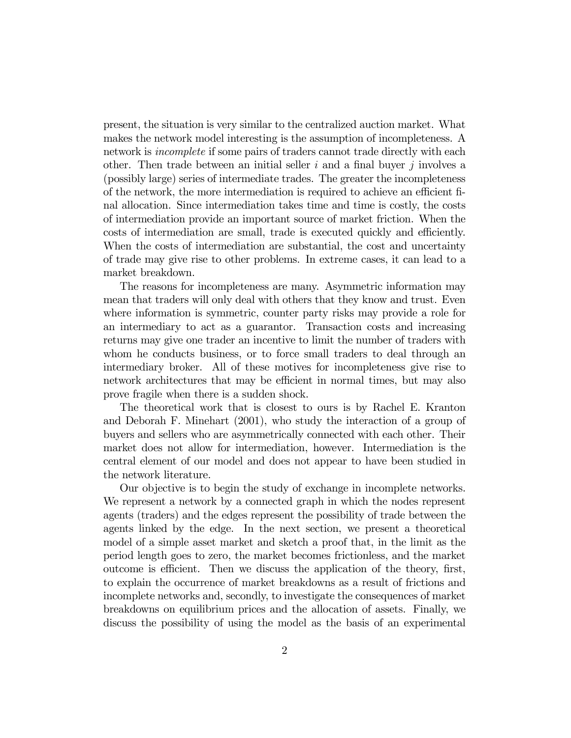present, the situation is very similar to the centralized auction market. What makes the network model interesting is the assumption of incompleteness. A network is incomplete if some pairs of traders cannot trade directly with each other. Then trade between an initial seller  $i$  and a final buyer  $j$  involves a (possibly large) series of intermediate trades. The greater the incompleteness of the network, the more intermediation is required to achieve an efficient final allocation. Since intermediation takes time and time is costly, the costs of intermediation provide an important source of market friction. When the costs of intermediation are small, trade is executed quickly and efficiently. When the costs of intermediation are substantial, the cost and uncertainty of trade may give rise to other problems. In extreme cases, it can lead to a market breakdown.

The reasons for incompleteness are many. Asymmetric information may mean that traders will only deal with others that they know and trust. Even where information is symmetric, counter party risks may provide a role for an intermediary to act as a guarantor. Transaction costs and increasing returns may give one trader an incentive to limit the number of traders with whom he conducts business, or to force small traders to deal through an intermediary broker. All of these motives for incompleteness give rise to network architectures that may be efficient in normal times, but may also prove fragile when there is a sudden shock.

The theoretical work that is closest to ours is by Rachel E. Kranton and Deborah F. Minehart (2001), who study the interaction of a group of buyers and sellers who are asymmetrically connected with each other. Their market does not allow for intermediation, however. Intermediation is the central element of our model and does not appear to have been studied in the network literature.

Our objective is to begin the study of exchange in incomplete networks. We represent a network by a connected graph in which the nodes represent agents (traders) and the edges represent the possibility of trade between the agents linked by the edge. In the next section, we present a theoretical model of a simple asset market and sketch a proof that, in the limit as the period length goes to zero, the market becomes frictionless, and the market outcome is efficient. Then we discuss the application of the theory, first, to explain the occurrence of market breakdowns as a result of frictions and incomplete networks and, secondly, to investigate the consequences of market breakdowns on equilibrium prices and the allocation of assets. Finally, we discuss the possibility of using the model as the basis of an experimental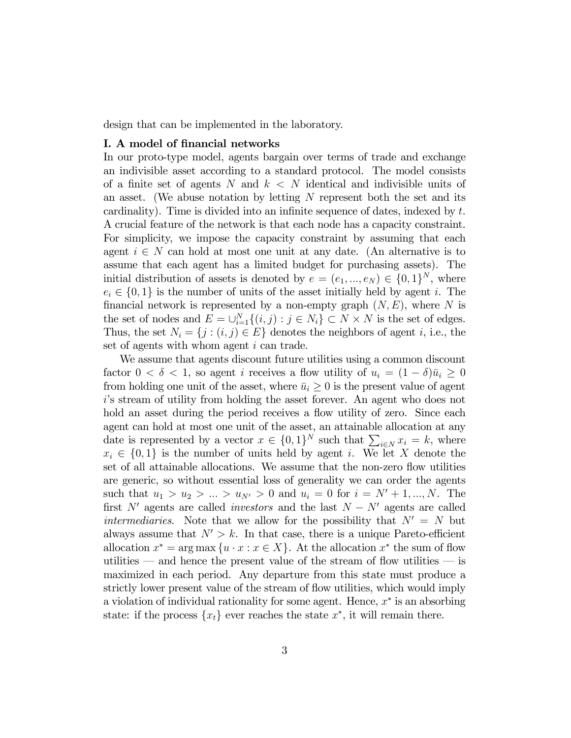design that can be implemented in the laboratory.

## I. A model of financial networks

In our proto-type model, agents bargain over terms of trade and exchange an indivisible asset according to a standard protocol. The model consists of a finite set of agents N and  $k < N$  identical and indivisible units of an asset. (We abuse notation by letting  $N$  represent both the set and its cardinality). Time is divided into an infinite sequence of dates, indexed by t. A crucial feature of the network is that each node has a capacity constraint. For simplicity, we impose the capacity constraint by assuming that each agent  $i \in N$  can hold at most one unit at any date. (An alternative is to assume that each agent has a limited budget for purchasing assets). The initial distribution of assets is denoted by  $e = (e_1, ..., e_N) \in \{0, 1\}^N$ , where  $e_i \in \{0,1\}$  is the number of units of the asset initially held by agent i. The financial network is represented by a non-empty graph  $(N, E)$ , where N is the set of nodes and  $E = \bigcup_{i=1}^{N} \{(i, j) : j \in N_i\} \subset N \times N$  is the set of edges. Thus, the set  $N_i = \{j : (i, j) \in E\}$  denotes the neighbors of agent i, i.e., the set of agents with whom agent i can trade.

We assume that agents discount future utilities using a common discount factor  $0 < \delta < 1$ , so agent *i* receives a flow utility of  $u_i = (1 - \delta)\overline{u}_i \geq 0$ from holding one unit of the asset, where  $\bar{u}_i \geq 0$  is the present value of agent i's stream of utility from holding the asset forever. An agent who does not hold an asset during the period receives a flow utility of zero. Since each agent can hold at most one unit of the asset, an attainable allocation at any date is represented by a vector  $x \in \{0,1\}^N$  such that  $\sum_{i \in N} x_i = k$ , where  $x_i \in \{0,1\}$  is the number of units held by agent i. We let X denote the set of all attainable allocations. We assume that the non-zero flow utilities are generic, so without essential loss of generality we can order the agents such that  $u_1 > u_2 > ... > u_{N'} > 0$  and  $u_i = 0$  for  $i = N' + 1, ..., N$ . The first N' agents are called *investors* and the last  $N - N'$  agents are called intermediaries. Note that we allow for the possibility that  $N' = N$  but always assume that  $N' > k$ . In that case, there is a unique Pareto-efficient allocation  $x^* = \arg \max \{u \cdot x : x \in X\}$ . At the allocation  $x^*$  the sum of flow utilities — and hence the present value of the stream of flow utilities — is maximized in each period. Any departure from this state must produce a strictly lower present value of the stream of flow utilities, which would imply a violation of individual rationality for some agent. Hence,  $x^*$  is an absorbing state: if the process  $\{x_t\}$  ever reaches the state  $x^*$ , it will remain there.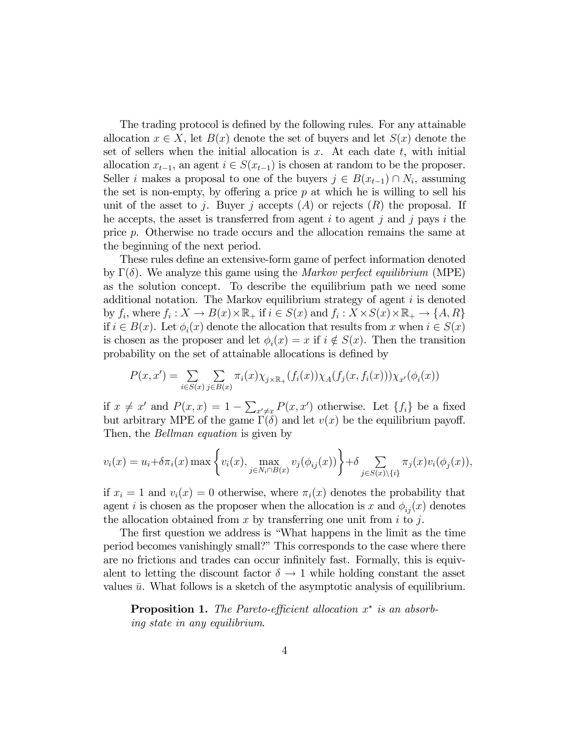The trading protocol is defined by the following rules. For any attainable allocation  $x \in X$ , let  $B(x)$  denote the set of buyers and let  $S(x)$  denote the set of sellers when the initial allocation is  $x$ . At each date  $t$ , with initial allocation  $x_{t-1}$ , an agent  $i \in S(x_{t-1})$  is chosen at random to be the proposer. Seller *i* makes a proposal to one of the buyers  $j \in B(x_{t-1}) \cap N_i$ , assuming the set is non-empty, by offering a price  $p$  at which he is willing to sell his unit of the asset to j. Buyer j accepts  $(A)$  or rejects  $(R)$  the proposal. If he accepts, the asset is transferred from agent  $i$  to agent  $j$  and  $j$  pays  $i$  the price p. Otherwise no trade occurs and the allocation remains the same at the beginning of the next period.

These rules define an extensive-form game of perfect information denoted by  $\Gamma(\delta)$ . We analyze this game using the *Markov perfect equilibrium* (MPE) as the solution concept. To describe the equilibrium path we need some additional notation. The Markov equilibrium strategy of agent  $i$  is denoted by  $f_i$ , where  $f_i: X \to B(x) \times \mathbb{R}_+$  if  $i \in S(x)$  and  $f_i: X \times S(x) \times \mathbb{R}_+ \to \{A, R\}$ if  $i \in B(x)$ . Let  $\phi_i(x)$  denote the allocation that results from x when  $i \in S(x)$ is chosen as the proposer and let  $\phi_i(x) = x$  if  $i \notin S(x)$ . Then the transition probability on the set of attainable allocations is defined by

$$
P(x, x') = \sum_{i \in S(x)} \sum_{j \in B(x)} \pi_i(x) \chi_{j \times \mathbb{R}_+}(f_i(x)) \chi_A(f_j(x, f_i(x))) \chi_{x'}(\phi_i(x))
$$

if  $x \neq x'$  and  $P(x, x) = 1 - \sum_{x' \neq x} P(x, x')$  otherwise. Let  $\{f_i\}$  be a fixed but arbitrary MPE of the game  $\Gamma(\delta)$  and let  $v(x)$  be the equilibrium payoff. Then, the *Bellman equation* is given by

$$
v_i(x) = u_i + \delta \pi_i(x) \max \left\{ v_i(x), \max_{j \in N_i \cap B(x)} v_j(\phi_{ij}(x)) \right\} + \delta \sum_{j \in S(x) \setminus \{i\}} \pi_j(x) v_i(\phi_j(x)),
$$

if  $x_i = 1$  and  $v_i(x) = 0$  otherwise, where  $\pi_i(x)$  denotes the probability that agent *i* is chosen as the proposer when the allocation is x and  $\phi_{ij}(x)$  denotes the allocation obtained from  $x$  by transferring one unit from  $i$  to  $j$ .

The first question we address is "What happens in the limit as the time period becomes vanishingly small?" This corresponds to the case where there are no frictions and trades can occur infinitely fast. Formally, this is equivalent to letting the discount factor  $\delta \to 1$  while holding constant the asset values  $\bar{u}$ . What follows is a sketch of the asymptotic analysis of equilibrium.

**Proposition 1.** The Pareto-efficient allocation  $x^*$  is an absorbing state in any equilibrium.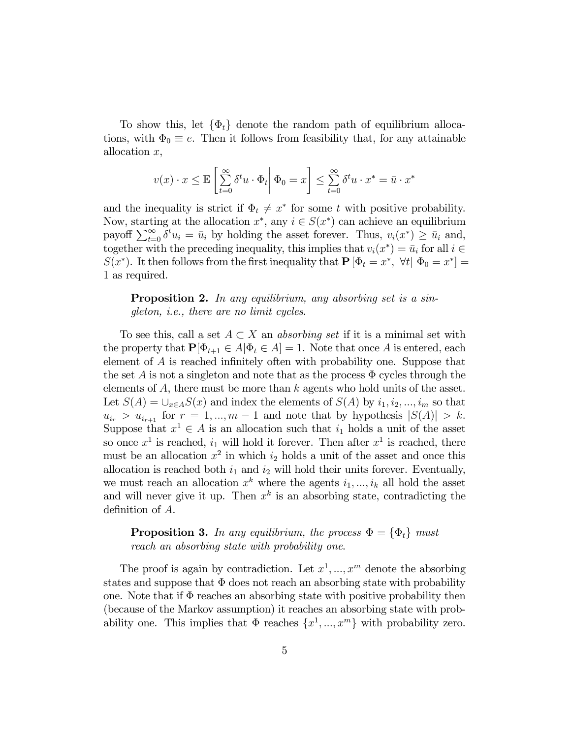To show this, let  $\{\Phi_t\}$  denote the random path of equilibrium allocations, with  $\Phi_0 \equiv e$ . Then it follows from feasibility that, for any attainable allocation x,

$$
v(x) \cdot x \le \mathbb{E}\left[\sum_{t=0}^{\infty} \delta^t u \cdot \Phi_t \middle| \Phi_0 = x\right] \le \sum_{t=0}^{\infty} \delta^t u \cdot x^* = \bar{u} \cdot x^*
$$

and the inequality is strict if  $\Phi_t \neq x^*$  for some t with positive probability. Now, starting at the allocation  $x^*$ , any  $i \in S(x^*)$  can achieve an equilibrium payoff  $\sum_{t=0}^{\infty} \delta^t u_i = \bar{u}_i$  by holding the asset forever. Thus,  $v_i(x^*) \geq \bar{u}_i$  and, together with the preceding inequality, this implies that  $v_i(x^*)=\bar{u}_i$  for all  $i \in$  $S(x^*)$ . It then follows from the first inequality that  $P [\Phi_t = x^*, \forall t | \Phi_0 = x^*] =$ 1 as required.

Proposition 2. In any equilibrium, any absorbing set is a singleton, i.e., there are no limit cycles.

To see this, call a set  $A \subset X$  an *absorbing set* if it is a minimal set with the property that  $\mathbf{P}[\Phi_{t+1} \in A | \Phi_t \in A] = 1$ . Note that once A is entered, each element of A is reached infinitely often with probability one. Suppose that the set A is not a singleton and note that as the process  $\Phi$  cycles through the elements of  $A$ , there must be more than  $k$  agents who hold units of the asset. Let  $S(A) = \bigcup_{x \in A} S(x)$  and index the elements of  $S(A)$  by  $i_1, i_2, ..., i_m$  so that  $u_{i_r} > u_{i_{r+1}}$  for  $r = 1, ..., m-1$  and note that by hypothesis  $|S(A)| > k$ . Suppose that  $x^1 \in A$  is an allocation such that  $i_1$  holds a unit of the asset so once  $x^1$  is reached,  $i_1$  will hold it forever. Then after  $x^1$  is reached, there must be an allocation  $x^2$  in which  $i_2$  holds a unit of the asset and once this allocation is reached both  $i_1$  and  $i_2$  will hold their units forever. Eventually, we must reach an allocation  $x^k$  where the agents  $i_1, ..., i_k$  all hold the asset and will never give it up. Then  $x^k$  is an absorbing state, contradicting the definition of A.

**Proposition 3.** In any equilibrium, the process  $\Phi = {\Phi_t}$  must reach an absorbing state with probability one.

The proof is again by contradiction. Let  $x^1, ..., x^m$  denote the absorbing states and suppose that  $\Phi$  does not reach an absorbing state with probability one. Note that if  $\Phi$  reaches an absorbing state with positive probability then (because of the Markov assumption) it reaches an absorbing state with probability one. This implies that  $\Phi$  reaches  $\{x^1, ..., x^m\}$  with probability zero.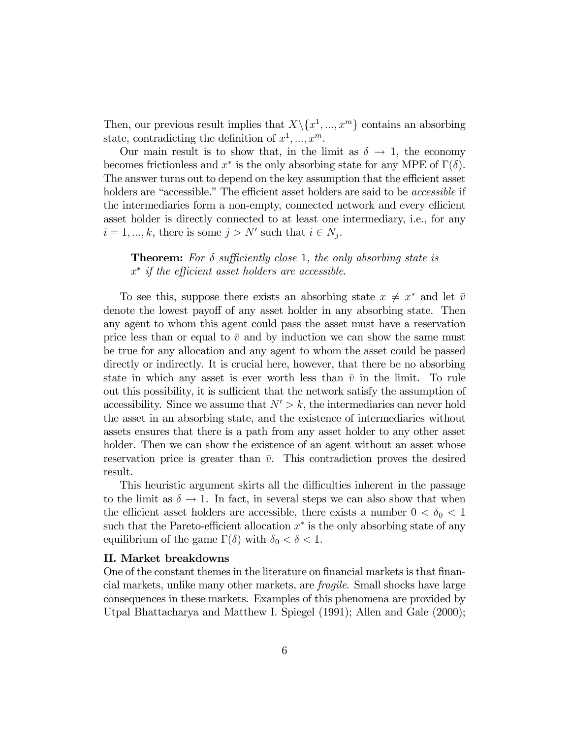Then, our previous result implies that  $X\backslash\{x^1, ..., x^m\}$  contains an absorbing state, contradicting the definition of  $x^1, ..., x^m$ .

Our main result is to show that, in the limit as  $\delta \to 1$ , the economy becomes frictionless and  $x^*$  is the only absorbing state for any MPE of  $\Gamma(\delta)$ . The answer turns out to depend on the key assumption that the efficient asset holders are "accessible." The efficient asset holders are said to be *accessible* if the intermediaries form a non-empty, connected network and every efficient asset holder is directly connected to at least one intermediary, i.e., for any  $i = 1, ..., k$ , there is some  $j > N'$  such that  $i \in N_j$ .

**Theorem:** For  $\delta$  sufficiently close 1, the only absorbing state is x<sup>∗</sup> if the efficient asset holders are accessible.

To see this, suppose there exists an absorbing state  $x \neq x^*$  and let  $\overline{v}$ denote the lowest payoff of any asset holder in any absorbing state. Then any agent to whom this agent could pass the asset must have a reservation price less than or equal to  $\bar{v}$  and by induction we can show the same must be true for any allocation and any agent to whom the asset could be passed directly or indirectly. It is crucial here, however, that there be no absorbing state in which any asset is ever worth less than  $\bar{v}$  in the limit. To rule out this possibility, it is sufficient that the network satisfy the assumption of accessibility. Since we assume that  $N' > k$ , the intermediaries can never hold the asset in an absorbing state, and the existence of intermediaries without assets ensures that there is a path from any asset holder to any other asset holder. Then we can show the existence of an agent without an asset whose reservation price is greater than  $\bar{v}$ . This contradiction proves the desired result.

This heuristic argument skirts all the difficulties inherent in the passage to the limit as  $\delta \to 1$ . In fact, in several steps we can also show that when the efficient asset holders are accessible, there exists a number  $0 < \delta_0 < 1$ such that the Pareto-efficient allocation  $x^*$  is the only absorbing state of any equilibrium of the game  $\Gamma(\delta)$  with  $\delta_0 < \delta < 1$ .

## II. Market breakdowns

One of the constant themes in the literature on financial markets is that financial markets, unlike many other markets, are fragile. Small shocks have large consequences in these markets. Examples of this phenomena are provided by Utpal Bhattacharya and Matthew I. Spiegel (1991); Allen and Gale (2000);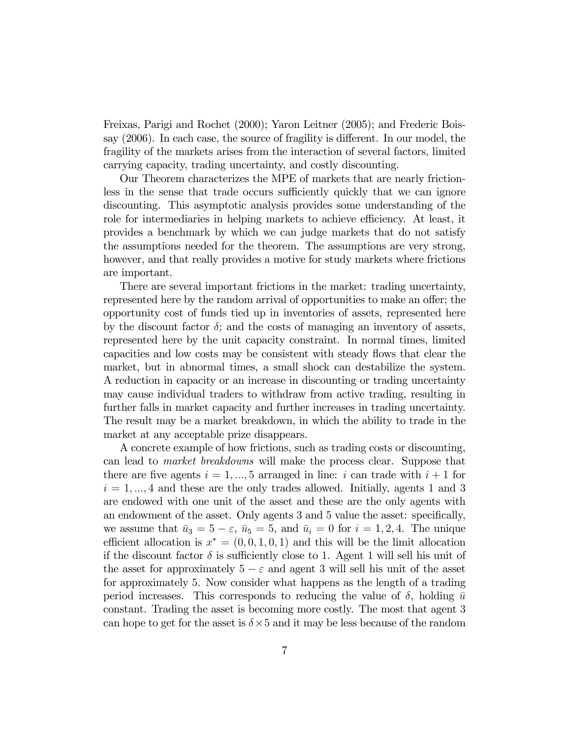Freixas, Parigi and Rochet (2000); Yaron Leitner (2005); and Frederic Boissay (2006). In each case, the source of fragility is different. In our model, the fragility of the markets arises from the interaction of several factors, limited carrying capacity, trading uncertainty, and costly discounting.

Our Theorem characterizes the MPE of markets that are nearly frictionless in the sense that trade occurs sufficiently quickly that we can ignore discounting. This asymptotic analysis provides some understanding of the role for intermediaries in helping markets to achieve efficiency. At least, it provides a benchmark by which we can judge markets that do not satisfy the assumptions needed for the theorem. The assumptions are very strong, however, and that really provides a motive for study markets where frictions are important.

There are several important frictions in the market: trading uncertainty, represented here by the random arrival of opportunities to make an offer; the opportunity cost of funds tied up in inventories of assets, represented here by the discount factor  $\delta$ ; and the costs of managing an inventory of assets, represented here by the unit capacity constraint. In normal times, limited capacities and low costs may be consistent with steady flows that clear the market, but in abnormal times, a small shock can destabilize the system. A reduction in capacity or an increase in discounting or trading uncertainty may cause individual traders to withdraw from active trading, resulting in further falls in market capacity and further increases in trading uncertainty. The result may be a market breakdown, in which the ability to trade in the market at any acceptable prize disappears.

A concrete example of how frictions, such as trading costs or discounting, can lead to market breakdowns will make the process clear. Suppose that there are five agents  $i = 1, ..., 5$  arranged in line: i can trade with  $i + 1$  for  $i = 1, \dots, 4$  and these are the only trades allowed. Initially, agents 1 and 3 are endowed with one unit of the asset and these are the only agents with an endowment of the asset. Only agents 3 and 5 value the asset: specifically, we assume that  $\bar{u}_3 = 5 - \varepsilon$ ,  $\bar{u}_5 = 5$ , and  $\bar{u}_i = 0$  for  $i = 1, 2, 4$ . The unique efficient allocation is  $x^* = (0, 0, 1, 0, 1)$  and this will be the limit allocation if the discount factor  $\delta$  is sufficiently close to 1. Agent 1 will sell his unit of the asset for approximately  $5 - \varepsilon$  and agent 3 will sell his unit of the asset for approximately 5. Now consider what happens as the length of a trading period increases. This corresponds to reducing the value of  $\delta$ , holding  $\bar{u}$ constant. Trading the asset is becoming more costly. The most that agent 3 can hope to get for the asset is  $\delta \times 5$  and it may be less because of the random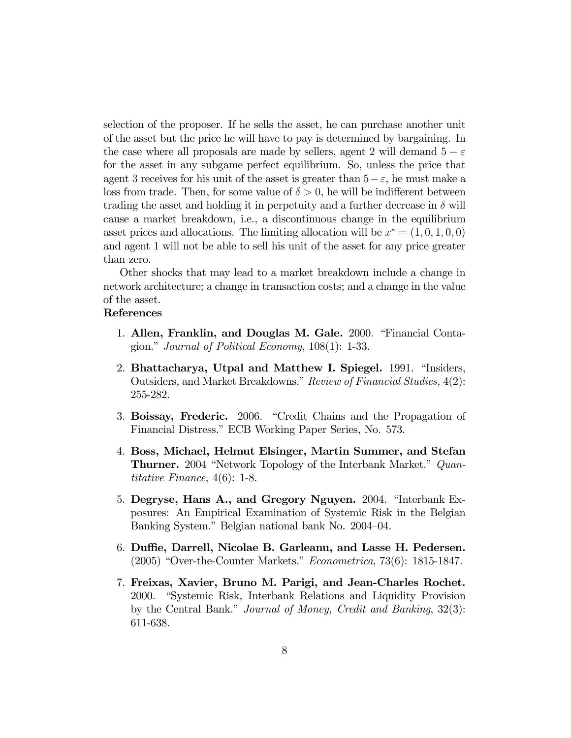selection of the proposer. If he sells the asset, he can purchase another unit of the asset but the price he will have to pay is determined by bargaining. In the case where all proposals are made by sellers, agent 2 will demand  $5 - \varepsilon$ for the asset in any subgame perfect equilibrium. So, unless the price that agent 3 receives for his unit of the asset is greater than  $5-\varepsilon$ , he must make a loss from trade. Then, for some value of  $\delta > 0$ , he will be indifferent between trading the asset and holding it in perpetuity and a further decrease in  $\delta$  will cause a market breakdown, i.e., a discontinuous change in the equilibrium asset prices and allocations. The limiting allocation will be  $x^* = (1, 0, 1, 0, 0)$ and agent 1 will not be able to sell his unit of the asset for any price greater than zero.

Other shocks that may lead to a market breakdown include a change in network architecture; a change in transaction costs; and a change in the value of the asset.

## References

- 1. Allen, Franklin, and Douglas M. Gale. 2000. "Financial Contagion." Journal of Political Economy, 108(1): 1-33.
- 2. Bhattacharya, Utpal and Matthew I. Spiegel. 1991. "Insiders, Outsiders, and Market Breakdowns." Review of Financial Studies, 4(2): 255-282.
- 3. Boissay, Frederic. 2006. "Credit Chains and the Propagation of Financial Distress." ECB Working Paper Series, No. 573.
- 4. Boss, Michael, Helmut Elsinger, Martin Summer, and Stefan Thurner. 2004 "Network Topology of the Interbank Market." Quantitative Finance, 4(6): 1-8.
- 5. Degryse, Hans A., and Gregory Nguyen. 2004. "Interbank Exposures: An Empirical Examination of Systemic Risk in the Belgian Banking System." Belgian national bank No. 2004—04.
- 6. Duffie, Darrell, Nicolae B. Garleanu, and Lasse H. Pedersen. (2005) "Over-the-Counter Markets." Econometrica, 73(6): 1815-1847.
- 7. Freixas, Xavier, Bruno M. Parigi, and Jean-Charles Rochet. 2000. "Systemic Risk, Interbank Relations and Liquidity Provision by the Central Bank." Journal of Money, Credit and Banking, 32(3): 611-638.